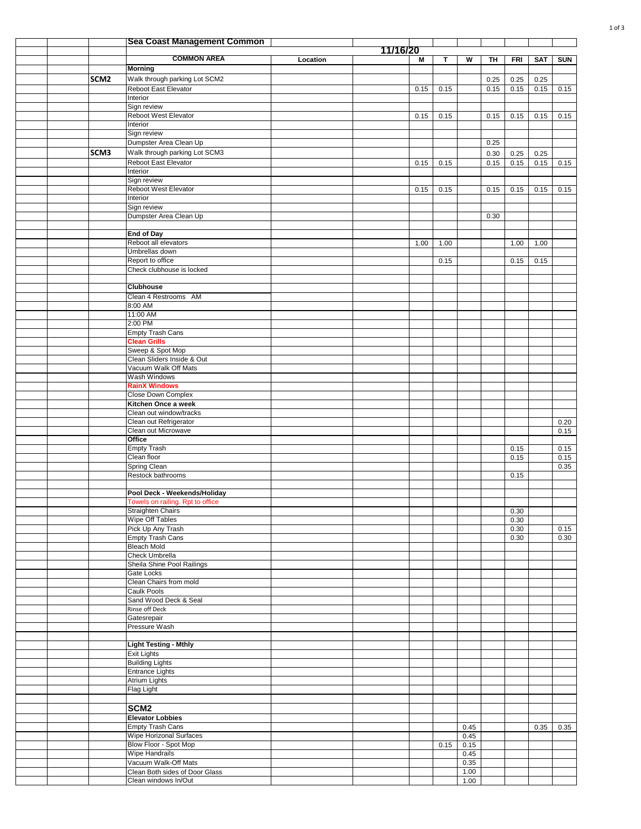|  |                  | Sea Coast Management Common                           |          |          |      |      |              |      |              |            |              |
|--|------------------|-------------------------------------------------------|----------|----------|------|------|--------------|------|--------------|------------|--------------|
|  |                  | <b>COMMON AREA</b>                                    | Location | 11/16/20 |      | T.   | W            | TH   | <b>FRI</b>   |            |              |
|  |                  | <b>Morning</b>                                        |          |          | Μ    |      |              |      |              | <b>SAT</b> | <b>SUN</b>   |
|  | SCM <sub>2</sub> | Walk through parking Lot SCM2                         |          |          |      |      |              | 0.25 | 0.25         | 0.25       |              |
|  |                  | Reboot East Elevator                                  |          |          | 0.15 | 0.15 |              | 0.15 | 0.15         | 0.15       | 0.15         |
|  |                  | Interior                                              |          |          |      |      |              |      |              |            |              |
|  |                  | Sign review                                           |          |          |      |      |              |      |              |            |              |
|  |                  | Reboot West Elevator<br>Interior                      |          |          | 0.15 | 0.15 |              | 0.15 | 0.15         | 0.15       | 0.15         |
|  |                  | Sign review                                           |          |          |      |      |              |      |              |            |              |
|  |                  | Dumpster Area Clean Up                                |          |          |      |      |              | 0.25 |              |            |              |
|  | SCM3             | Walk through parking Lot SCM3                         |          |          |      |      |              | 0.30 | 0.25         | 0.25       |              |
|  |                  | Reboot East Elevator                                  |          |          | 0.15 | 0.15 |              | 0.15 | 0.15         | 0.15       | 0.15         |
|  |                  | Interior<br>Sign review                               |          |          |      |      |              |      |              |            |              |
|  |                  | Reboot West Elevator                                  |          |          | 0.15 | 0.15 |              | 0.15 | 0.15         | 0.15       | 0.15         |
|  |                  | Interior                                              |          |          |      |      |              |      |              |            |              |
|  |                  | Sign review                                           |          |          |      |      |              |      |              |            |              |
|  |                  | Dumpster Area Clean Up                                |          |          |      |      |              | 0.30 |              |            |              |
|  |                  | <b>End of Day</b>                                     |          |          |      |      |              |      |              |            |              |
|  |                  | Reboot all elevators                                  |          |          | 1.00 | 1.00 |              |      | 1.00         | 1.00       |              |
|  |                  | Umbrellas down                                        |          |          |      |      |              |      |              |            |              |
|  |                  | Report to office                                      |          |          |      | 0.15 |              |      | 0.15         | 0.15       |              |
|  |                  | Check clubhouse is locked                             |          |          |      |      |              |      |              |            |              |
|  |                  | <b>Clubhouse</b>                                      |          |          |      |      |              |      |              |            |              |
|  |                  | Clean 4 Restrooms AM                                  |          |          |      |      |              |      |              |            |              |
|  |                  | 8:00 AM                                               |          |          |      |      |              |      |              |            |              |
|  |                  | 11:00 AM                                              |          |          |      |      |              |      |              |            |              |
|  |                  | 2:00 PM                                               |          |          |      |      |              |      |              |            |              |
|  |                  | <b>Empty Trash Cans</b><br><b>Clean Grills</b>        |          |          |      |      |              |      |              |            |              |
|  |                  | Sweep & Spot Mop                                      |          |          |      |      |              |      |              |            |              |
|  |                  | Clean Sliders Inside & Out                            |          |          |      |      |              |      |              |            |              |
|  |                  | Vacuum Walk Off Mats                                  |          |          |      |      |              |      |              |            |              |
|  |                  | Wash Windows                                          |          |          |      |      |              |      |              |            |              |
|  |                  | <b>RainX Windows</b>                                  |          |          |      |      |              |      |              |            |              |
|  |                  | <b>Close Down Complex</b><br>Kitchen Once a week      |          |          |      |      |              |      |              |            |              |
|  |                  | Clean out window/tracks                               |          |          |      |      |              |      |              |            |              |
|  |                  | Clean out Refrigerator                                |          |          |      |      |              |      |              |            | 0.20         |
|  |                  | Clean out Microwave                                   |          |          |      |      |              |      |              |            | 0.15         |
|  |                  | Office                                                |          |          |      |      |              |      |              |            |              |
|  |                  | Empty Trash<br>Clean floor                            |          |          |      |      |              |      | 0.15<br>0.15 |            | 0.15         |
|  |                  | Spring Clean                                          |          |          |      |      |              |      |              |            | 0.15<br>0.35 |
|  |                  | Restock bathrooms                                     |          |          |      |      |              |      | 0.15         |            |              |
|  |                  |                                                       |          |          |      |      |              |      |              |            |              |
|  |                  | Pool Deck - Weekends/Holiday                          |          |          |      |      |              |      |              |            |              |
|  |                  | Towels on railing. Rpt to office<br>Straighten Chairs |          |          |      |      |              |      |              |            |              |
|  |                  | Wipe Off Tables                                       |          |          |      |      |              |      | 0.30<br>0.30 |            |              |
|  |                  | Pick Up Any Trash                                     |          |          |      |      |              |      | 0.30         |            | 0.15         |
|  |                  | Empty Trash Cans                                      |          |          |      |      |              |      | 0.30         |            | 0.30         |
|  |                  | <b>Bleach Mold</b>                                    |          |          |      |      |              |      |              |            |              |
|  |                  | <b>Check Umbrella</b>                                 |          |          |      |      |              |      |              |            |              |
|  |                  | Sheila Shine Pool Railings<br>Gate Locks              |          |          |      |      |              |      |              |            |              |
|  |                  | Clean Chairs from mold                                |          |          |      |      |              |      |              |            |              |
|  |                  | <b>Caulk Pools</b>                                    |          |          |      |      |              |      |              |            |              |
|  |                  | Sand Wood Deck & Seal                                 |          |          |      |      |              |      |              |            |              |
|  |                  | Rinse off Deck                                        |          |          |      |      |              |      |              |            |              |
|  |                  | Gatesrepair<br>Pressure Wash                          |          |          |      |      |              |      |              |            |              |
|  |                  |                                                       |          |          |      |      |              |      |              |            |              |
|  |                  | <b>Light Testing - Mthly</b>                          |          |          |      |      |              |      |              |            |              |
|  |                  | <b>Exit Lights</b>                                    |          |          |      |      |              |      |              |            |              |
|  |                  | <b>Building Lights</b>                                |          |          |      |      |              |      |              |            |              |
|  |                  | <b>Entrance Lights</b>                                |          |          |      |      |              |      |              |            |              |
|  |                  | Atrium Lights<br>Flag Light                           |          |          |      |      |              |      |              |            |              |
|  |                  |                                                       |          |          |      |      |              |      |              |            |              |
|  |                  | SCM <sub>2</sub>                                      |          |          |      |      |              |      |              |            |              |
|  |                  | <b>Elevator Lobbies</b>                               |          |          |      |      |              |      |              |            |              |
|  |                  | <b>Empty Trash Cans</b>                               |          |          |      |      | 0.45         |      |              | 0.35       | 0.35         |
|  |                  | Wipe Horizonal Surfaces                               |          |          |      |      | 0.45         |      |              |            |              |
|  |                  | Blow Floor - Spot Mop                                 |          |          |      | 0.15 | 0.15         |      |              |            |              |
|  |                  | Wipe Handrails<br>Vacuum Walk-Off Mats                |          |          |      |      | 0.45<br>0.35 |      |              |            |              |
|  |                  | Clean Both sides of Door Glass                        |          |          |      |      | 1.00         |      |              |            |              |
|  |                  | Clean windows In/Out                                  |          |          |      |      | 1.00         |      |              |            |              |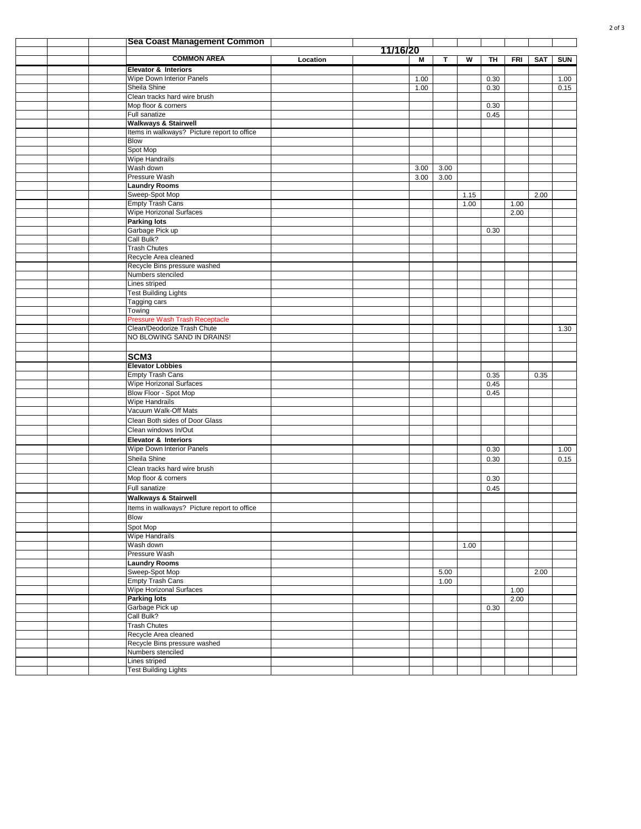|  | <b>Sea Coast Management Common</b>                            |          |          |              |      |      |              |              |            |              |
|--|---------------------------------------------------------------|----------|----------|--------------|------|------|--------------|--------------|------------|--------------|
|  |                                                               |          | 11/16/20 |              |      |      |              |              |            |              |
|  | <b>COMMON AREA</b>                                            | Location |          | M            | T    | W    | TH           | <b>FRI</b>   | <b>SAT</b> | <b>SUN</b>   |
|  | <b>Elevator &amp; Interiors</b>                               |          |          |              |      |      |              |              |            |              |
|  | Wipe Down Interior Panels<br>Sheila Shine                     |          |          | 1.00<br>1.00 |      |      | 0.30<br>0.30 |              |            | 1.00<br>0.15 |
|  | Clean tracks hard wire brush                                  |          |          |              |      |      |              |              |            |              |
|  | Mop floor & corners                                           |          |          |              |      |      | 0.30         |              |            |              |
|  | Full sanatize                                                 |          |          |              |      |      | 0.45         |              |            |              |
|  | <b>Walkways &amp; Stairwell</b>                               |          |          |              |      |      |              |              |            |              |
|  | Items in walkways? Picture report to office                   |          |          |              |      |      |              |              |            |              |
|  | Blow                                                          |          |          |              |      |      |              |              |            |              |
|  | Spot Mop                                                      |          |          |              |      |      |              |              |            |              |
|  | <b>Wipe Handrails</b><br>Wash down                            |          |          | 3.00         | 3.00 |      |              |              |            |              |
|  | Pressure Wash                                                 |          |          | 3.00         | 3.00 |      |              |              |            |              |
|  | <b>Laundry Rooms</b>                                          |          |          |              |      |      |              |              |            |              |
|  | Sweep-Spot Mop                                                |          |          |              |      | 1.15 |              |              | 2.00       |              |
|  | <b>Empty Trash Cans</b>                                       |          |          |              |      | 1.00 |              | 1.00         |            |              |
|  | Wipe Horizonal Surfaces                                       |          |          |              |      |      |              | 2.00         |            |              |
|  | <b>Parking lots</b>                                           |          |          |              |      |      |              |              |            |              |
|  | Garbage Pick up                                               |          |          |              |      |      | 0.30         |              |            |              |
|  | Call Bulk?<br><b>Trash Chutes</b>                             |          |          |              |      |      |              |              |            |              |
|  | Recycle Area cleaned                                          |          |          |              |      |      |              |              |            |              |
|  | Recycle Bins pressure washed                                  |          |          |              |      |      |              |              |            |              |
|  | Numbers stenciled                                             |          |          |              |      |      |              |              |            |              |
|  | Lines striped                                                 |          |          |              |      |      |              |              |            |              |
|  | <b>Test Building Lights</b>                                   |          |          |              |      |      |              |              |            |              |
|  | Tagging cars                                                  |          |          |              |      |      |              |              |            |              |
|  | Towing                                                        |          |          |              |      |      |              |              |            |              |
|  | Pressure Wash Trash Receptacle<br>Clean/Deodorize Trash Chute |          |          |              |      |      |              |              |            | 1.30         |
|  | NO BLOWING SAND IN DRAINS!                                    |          |          |              |      |      |              |              |            |              |
|  |                                                               |          |          |              |      |      |              |              |            |              |
|  | SCM <sub>3</sub>                                              |          |          |              |      |      |              |              |            |              |
|  | <b>Elevator Lobbies</b>                                       |          |          |              |      |      |              |              |            |              |
|  | <b>Empty Trash Cans</b>                                       |          |          |              |      |      | 0.35         |              | 0.35       |              |
|  | Wipe Horizonal Surfaces                                       |          |          |              |      |      | 0.45         |              |            |              |
|  | Blow Floor - Spot Mop                                         |          |          |              |      |      | 0.45         |              |            |              |
|  | Wipe Handrails                                                |          |          |              |      |      |              |              |            |              |
|  | Vacuum Walk-Off Mats                                          |          |          |              |      |      |              |              |            |              |
|  | Clean Both sides of Door Glass                                |          |          |              |      |      |              |              |            |              |
|  | Clean windows In/Out<br><b>Elevator &amp; Interiors</b>       |          |          |              |      |      |              |              |            |              |
|  | Wipe Down Interior Panels                                     |          |          |              |      |      | 0.30         |              |            | 1.00         |
|  | Sheila Shine                                                  |          |          |              |      |      | 0.30         |              |            | 0.15         |
|  | Clean tracks hard wire brush                                  |          |          |              |      |      |              |              |            |              |
|  | Mop floor & corners                                           |          |          |              |      |      | 0.30         |              |            |              |
|  | Full sanatize                                                 |          |          |              |      |      | 0.45         |              |            |              |
|  | <b>Walkways &amp; Stairwell</b>                               |          |          |              |      |      |              |              |            |              |
|  | Items in walkways? Picture report to office                   |          |          |              |      |      |              |              |            |              |
|  | Blow                                                          |          |          |              |      |      |              |              |            |              |
|  | Spot Mop                                                      |          |          |              |      |      |              |              |            |              |
|  | <b>Wipe Handrails</b>                                         |          |          |              |      |      |              |              |            |              |
|  | Wash down                                                     |          |          |              |      | 1.00 |              |              |            |              |
|  | Pressure Wash                                                 |          |          |              |      |      |              |              |            |              |
|  | <b>Laundry Rooms</b>                                          |          |          |              |      |      |              |              |            |              |
|  | Sweep-Spot Mop                                                |          |          |              | 5.00 |      |              |              | 2.00       |              |
|  | <b>Empty Trash Cans</b><br><b>Wipe Horizonal Surfaces</b>     |          |          |              | 1.00 |      |              |              |            |              |
|  | <b>Parking lots</b>                                           |          |          |              |      |      |              | 1.00<br>2.00 |            |              |
|  | Garbage Pick up                                               |          |          |              |      |      | 0.30         |              |            |              |
|  | Call Bulk?                                                    |          |          |              |      |      |              |              |            |              |
|  | <b>Trash Chutes</b>                                           |          |          |              |      |      |              |              |            |              |
|  | Recycle Area cleaned                                          |          |          |              |      |      |              |              |            |              |
|  | Recycle Bins pressure washed                                  |          |          |              |      |      |              |              |            |              |
|  | Numbers stenciled                                             |          |          |              |      |      |              |              |            |              |
|  | Lines striped                                                 |          |          |              |      |      |              |              |            |              |
|  | Test Building Lights                                          |          |          |              |      |      |              |              |            |              |